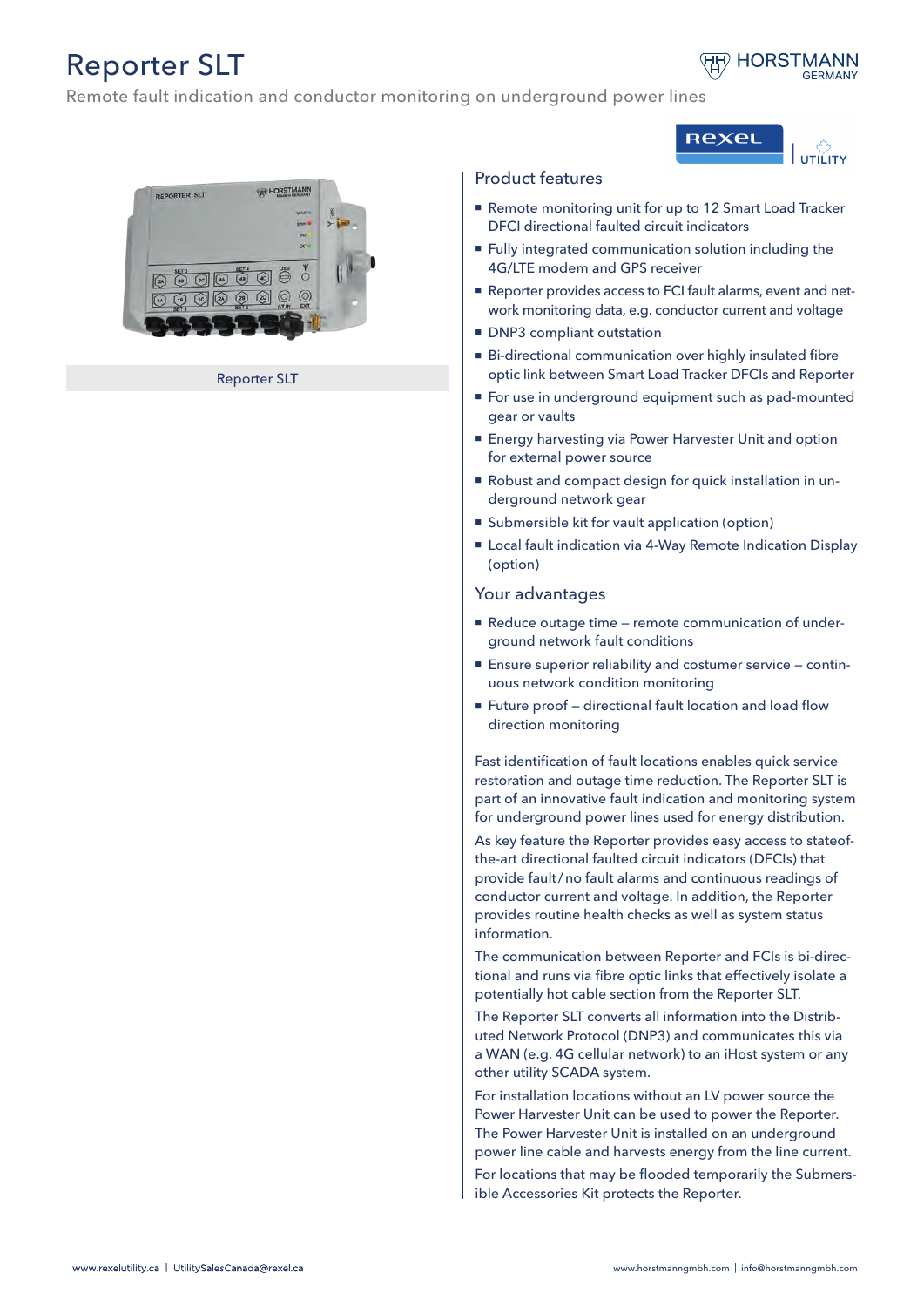## Reporter SLT



υτιώτγ

**Rexel** 

Remote fault indication and conductor monitoring on underground power lines



Reporter SLT

## Product features

- Remote monitoring unit for up to 12 Smart Load Tracker DFCI directional faulted circuit indicators
- **Fully integrated communication solution including the** 4G/LTE modem and GPS receiver
- Reporter provides access to FCI fault alarms, event and network monitoring data, e.g. conductor current and voltage
- **DNP3** compliant outstation
- Bi-directional communication over highly insulated fibre optic link between Smart Load Tracker DFCIs and Reporter
- For use in underground equipment such as pad-mounted gear or vaults
- Energy harvesting via Power Harvester Unit and option for external power source
- Robust and compact design for quick installation in underground network gear
- Submersible kit for vault application (option)
- Local fault indication via 4-Way Remote Indication Display (option)

## Your advantages

- Reduce outage time remote communication of underground network fault conditions
- Ensure superior reliability and costumer service continuous network condition monitoring
- Future proof directional fault location and load flow direction monitoring

Fast identification of fault locations enables quick service restoration and outage time reduction. The Reporter SLT is part of an innovative fault indication and monitoring system for underground power lines used for energy distribution.

As key feature the Reporter provides easy access to stateofthe-art directional faulted circuit indicators (DFCIs) that provide fault/no fault alarms and continuous readings of conductor current and voltage. In addition, the Reporter provides routine health checks as well as system status information.

The communication between Reporter and FCIs is bi-directional and runs via fibre optic links that effectively isolate a potentially hot cable section from the Reporter SLT.

The Reporter SLT converts all information into the Distributed Network Protocol (DNP3) and communicates this via a WAN (e.g. 4G cellular network) to an iHost system or any other utility SCADA system.

For installation locations without an LV power source the Power Harvester Unit can be used to power the Reporter. The Power Harvester Unit is installed on an underground power line cable and harvests energy from the line current.

For locations that may be flooded temporarily the Submersible Accessories Kit protects the Reporter.